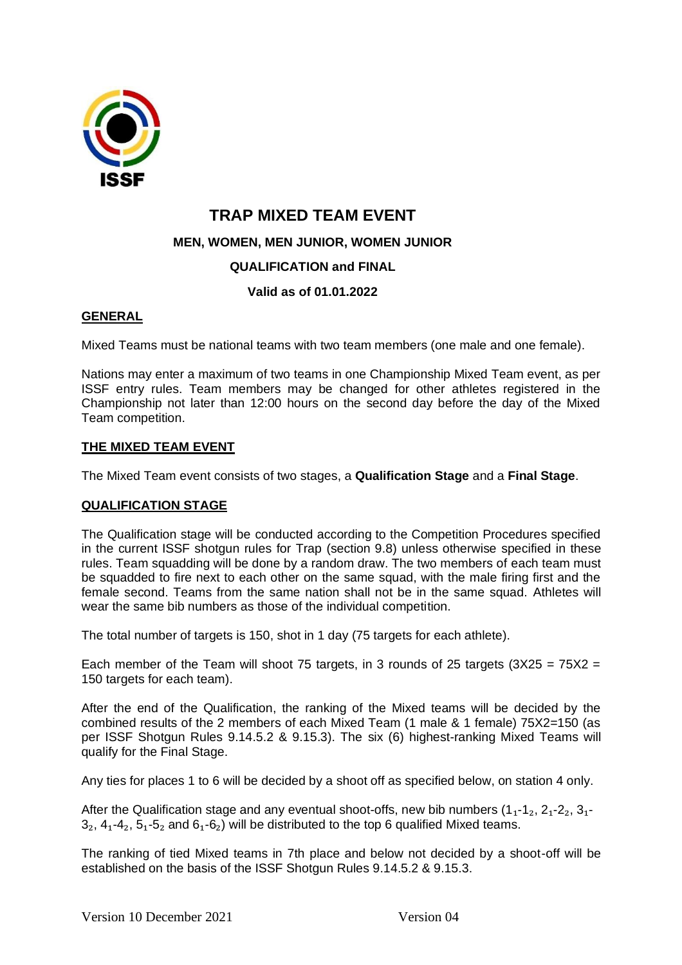

# **TRAP MIXED TEAM EVENT**

**MEN, WOMEN, MEN JUNIOR, WOMEN JUNIOR** 

# **QUALIFICATION and FINAL**

# **Valid as of 01.01.2022**

# **GENERAL**

Mixed Teams must be national teams with two team members (one male and one female).

Nations may enter a maximum of two teams in one Championship Mixed Team event, as per ISSF entry rules. Team members may be changed for other athletes registered in the Championship not later than 12:00 hours on the second day before the day of the Mixed Team competition.

## **THE MIXED TEAM EVENT**

The Mixed Team event consists of two stages, a **Qualification Stage** and a **Final Stage**.

## **QUALIFICATION STAGE**

The Qualification stage will be conducted according to the Competition Procedures specified in the current ISSF shotgun rules for Trap (section 9.8) unless otherwise specified in these rules. Team squadding will be done by a random draw. The two members of each team must be squadded to fire next to each other on the same squad, with the male firing first and the female second. Teams from the same nation shall not be in the same squad. Athletes will wear the same bib numbers as those of the individual competition.

The total number of targets is 150, shot in 1 day (75 targets for each athlete).

Each member of the Team will shoot 75 targets, in 3 rounds of 25 targets  $(3X25 = 75X2 =$ 150 targets for each team).

After the end of the Qualification, the ranking of the Mixed teams will be decided by the combined results of the 2 members of each Mixed Team (1 male & 1 female) 75X2=150 (as per ISSF Shotgun Rules 9.14.5.2 & 9.15.3). The six (6) highest-ranking Mixed Teams will qualify for the Final Stage.

Any ties for places 1 to 6 will be decided by a shoot off as specified below, on station 4 only.

After the Qualification stage and any eventual shoot-offs, new bib numbers  $(1_1-1_2, 2_1-2_2, 3_1-1_2)$  $3<sub>2</sub>$ ,  $4<sub>1</sub>$ - $4<sub>2</sub>$ ,  $5<sub>1</sub>$ - $5<sub>2</sub>$  and  $6<sub>1</sub>$ - $6<sub>2</sub>$ ) will be distributed to the top 6 qualified Mixed teams.

The ranking of tied Mixed teams in 7th place and below not decided by a shoot-off will be established on the basis of the ISSF Shotgun Rules 9.14.5.2 & 9.15.3.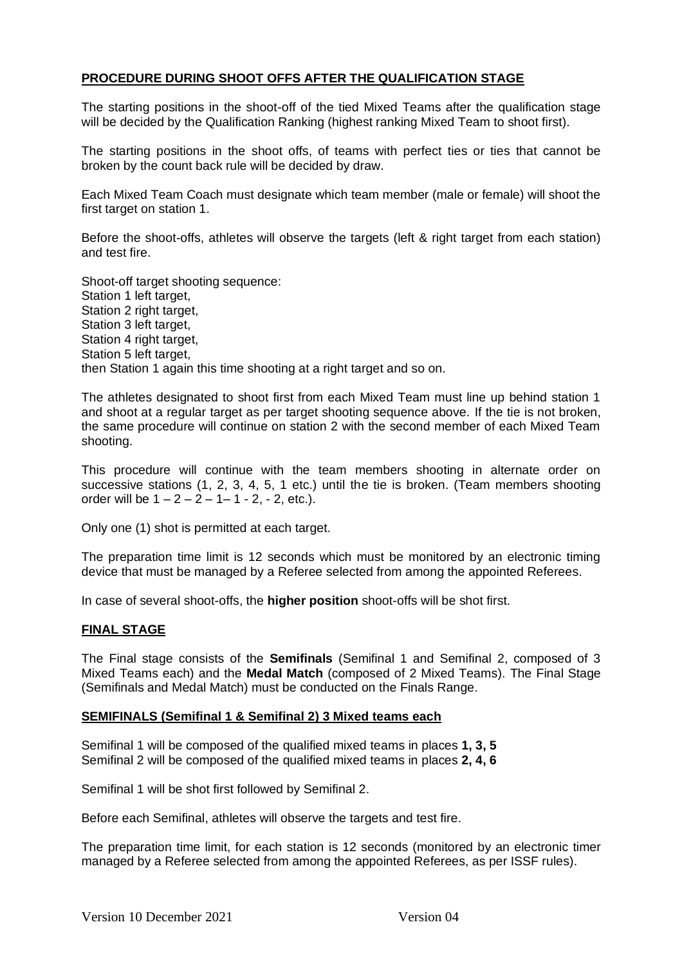## **PROCEDURE DURING SHOOT OFFS AFTER THE QUALIFICATION STAGE**

The starting positions in the shoot-off of the tied Mixed Teams after the qualification stage will be decided by the Qualification Ranking (highest ranking Mixed Team to shoot first).

The starting positions in the shoot offs, of teams with perfect ties or ties that cannot be broken by the count back rule will be decided by draw.

Each Mixed Team Coach must designate which team member (male or female) will shoot the first target on station 1.

Before the shoot-offs, athletes will observe the targets (left & right target from each station) and test fire.

Shoot-off target shooting sequence: Station 1 left target, Station 2 right target, Station 3 left target, Station 4 right target. Station 5 left target. then Station 1 again this time shooting at a right target and so on.

The athletes designated to shoot first from each Mixed Team must line up behind station 1 and shoot at a regular target as per target shooting sequence above. If the tie is not broken, the same procedure will continue on station 2 with the second member of each Mixed Team shooting.

This procedure will continue with the team members shooting in alternate order on successive stations (1, 2, 3, 4, 5, 1 etc.) until the tie is broken. (Team members shooting order will be  $1 - 2 - 2 - 1 - 1 - 2$ ,  $- 2$ , etc.).

Only one (1) shot is permitted at each target.

The preparation time limit is 12 seconds which must be monitored by an electronic timing device that must be managed by a Referee selected from among the appointed Referees.

In case of several shoot-offs, the **higher position** shoot-offs will be shot first.

## **FINAL STAGE**

The Final stage consists of the **Semifinals** (Semifinal 1 and Semifinal 2, composed of 3 Mixed Teams each) and the **Medal Match** (composed of 2 Mixed Teams). The Final Stage (Semifinals and Medal Match) must be conducted on the Finals Range.

#### **SEMIFINALS (Semifinal 1 & Semifinal 2) 3 Mixed teams each**

Semifinal 1 will be composed of the qualified mixed teams in places **1, 3, 5**  Semifinal 2 will be composed of the qualified mixed teams in places **2, 4, 6**

Semifinal 1 will be shot first followed by Semifinal 2.

Before each Semifinal, athletes will observe the targets and test fire.

The preparation time limit, for each station is 12 seconds (monitored by an electronic timer managed by a Referee selected from among the appointed Referees, as per ISSF rules).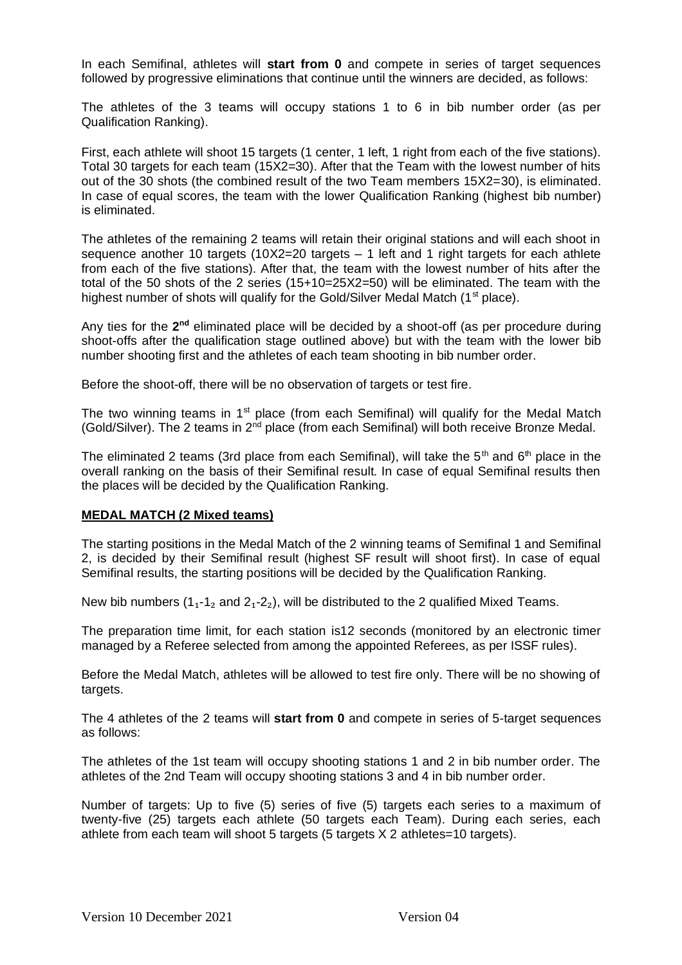In each Semifinal, athletes will **start from 0** and compete in series of target sequences followed by progressive eliminations that continue until the winners are decided, as follows:

The athletes of the 3 teams will occupy stations 1 to 6 in bib number order (as per Qualification Ranking).

First, each athlete will shoot 15 targets (1 center, 1 left, 1 right from each of the five stations). Total 30 targets for each team (15X2=30). After that the Team with the lowest number of hits out of the 30 shots (the combined result of the two Team members 15X2=30), is eliminated. In case of equal scores, the team with the lower Qualification Ranking (highest bib number) is eliminated.

The athletes of the remaining 2 teams will retain their original stations and will each shoot in sequence another 10 targets  $(10X2=20$  targets  $-1$  left and 1 right targets for each athlete from each of the five stations). After that, the team with the lowest number of hits after the total of the 50 shots of the 2 series (15+10=25X2=50) will be eliminated. The team with the highest number of shots will qualify for the Gold/Silver Medal Match (1<sup>st</sup> place).

Any ties for the 2<sup>nd</sup> eliminated place will be decided by a shoot-off (as per procedure during shoot-offs after the qualification stage outlined above) but with the team with the lower bib number shooting first and the athletes of each team shooting in bib number order.

Before the shoot-off, there will be no observation of targets or test fire.

The two winning teams in  $1<sup>st</sup>$  place (from each Semifinal) will qualify for the Medal Match (Gold/Silver). The 2 teams in 2<sup>nd</sup> place (from each Semifinal) will both receive Bronze Medal.

The eliminated 2 teams (3rd place from each Semifinal), will take the  $5<sup>th</sup>$  and  $6<sup>th</sup>$  place in the overall ranking on the basis of their Semifinal result. In case of equal Semifinal results then the places will be decided by the Qualification Ranking.

## **MEDAL MATCH (2 Mixed teams)**

The starting positions in the Medal Match of the 2 winning teams of Semifinal 1 and Semifinal 2, is decided by their Semifinal result (highest SF result will shoot first). In case of equal Semifinal results, the starting positions will be decided by the Qualification Ranking.

New bib numbers  $(1_1 - 1_2)$  and  $(2_1 - 2_2)$ , will be distributed to the 2 qualified Mixed Teams.

The preparation time limit, for each station is12 seconds (monitored by an electronic timer managed by a Referee selected from among the appointed Referees, as per ISSF rules).

Before the Medal Match, athletes will be allowed to test fire only. There will be no showing of targets.

The 4 athletes of the 2 teams will **start from 0** and compete in series of 5-target sequences as follows:

The athletes of the 1st team will occupy shooting stations 1 and 2 in bib number order. The athletes of the 2nd Team will occupy shooting stations 3 and 4 in bib number order.

Number of targets: Up to five (5) series of five (5) targets each series to a maximum of twenty-five (25) targets each athlete (50 targets each Team). During each series, each athlete from each team will shoot 5 targets (5 targets X 2 athletes=10 targets).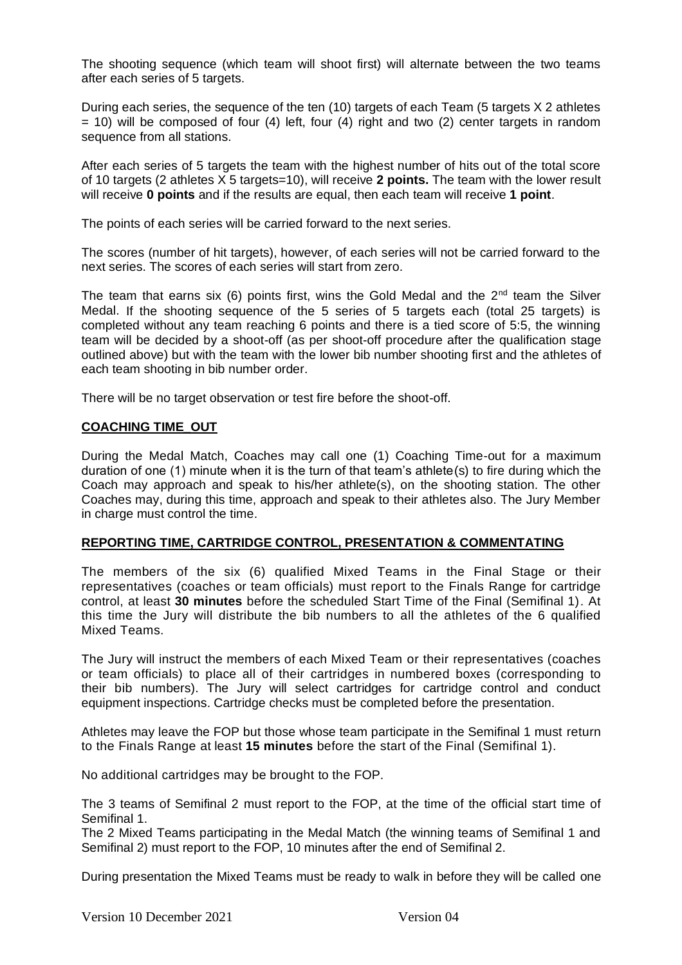The shooting sequence (which team will shoot first) will alternate between the two teams after each series of 5 targets.

During each series, the sequence of the ten (10) targets of each Team (5 targets X 2 athletes  $=$  10) will be composed of four (4) left, four (4) right and two (2) center targets in random sequence from all stations.

After each series of 5 targets the team with the highest number of hits out of the total score of 10 targets (2 athletes X 5 targets=10), will receive **2 points.** The team with the lower result will receive **0 points** and if the results are equal, then each team will receive **1 point**.

The points of each series will be carried forward to the next series.

The scores (number of hit targets), however, of each series will not be carried forward to the next series. The scores of each series will start from zero.

The team that earns six (6) points first, wins the Gold Medal and the  $2<sup>nd</sup>$  team the Silver Medal. If the shooting sequence of the 5 series of 5 targets each (total 25 targets) is completed without any team reaching 6 points and there is a tied score of 5:5, the winning team will be decided by a shoot-off (as per shoot-off procedure after the qualification stage outlined above) but with the team with the lower bib number shooting first and the athletes of each team shooting in bib number order.

There will be no target observation or test fire before the shoot-off.

## **COACHING TIME\_OUT**

During the Medal Match, Coaches may call one (1) Coaching Time-out for a maximum duration of one (1) minute when it is the turn of that team's athlete(s) to fire during which the Coach may approach and speak to his/her athlete(s), on the shooting station. The other Coaches may, during this time, approach and speak to their athletes also. The Jury Member in charge must control the time.

## **REPORTING TIME, CARTRIDGE CONTROL, PRESENTATION & COMMENTATING**

The members of the six (6) qualified Mixed Teams in the Final Stage or their representatives (coaches or team officials) must report to the Finals Range for cartridge control, at least **30 minutes** before the scheduled Start Time of the Final (Semifinal 1). At this time the Jury will distribute the bib numbers to all the athletes of the 6 qualified Mixed Teams.

The Jury will instruct the members of each Mixed Team or their representatives (coaches or team officials) to place all of their cartridges in numbered boxes (corresponding to their bib numbers). The Jury will select cartridges for cartridge control and conduct equipment inspections. Cartridge checks must be completed before the presentation.

Athletes may leave the FOP but those whose team participate in the Semifinal 1 must return to the Finals Range at least **15 minutes** before the start of the Final (Semifinal 1).

No additional cartridges may be brought to the FOP.

The 3 teams of Semifinal 2 must report to the FOP, at the time of the official start time of Semifinal 1.

The 2 Mixed Teams participating in the Medal Match (the winning teams of Semifinal 1 and Semifinal 2) must report to the FOP, 10 minutes after the end of Semifinal 2.

During presentation the Mixed Teams must be ready to walk in before they will be called one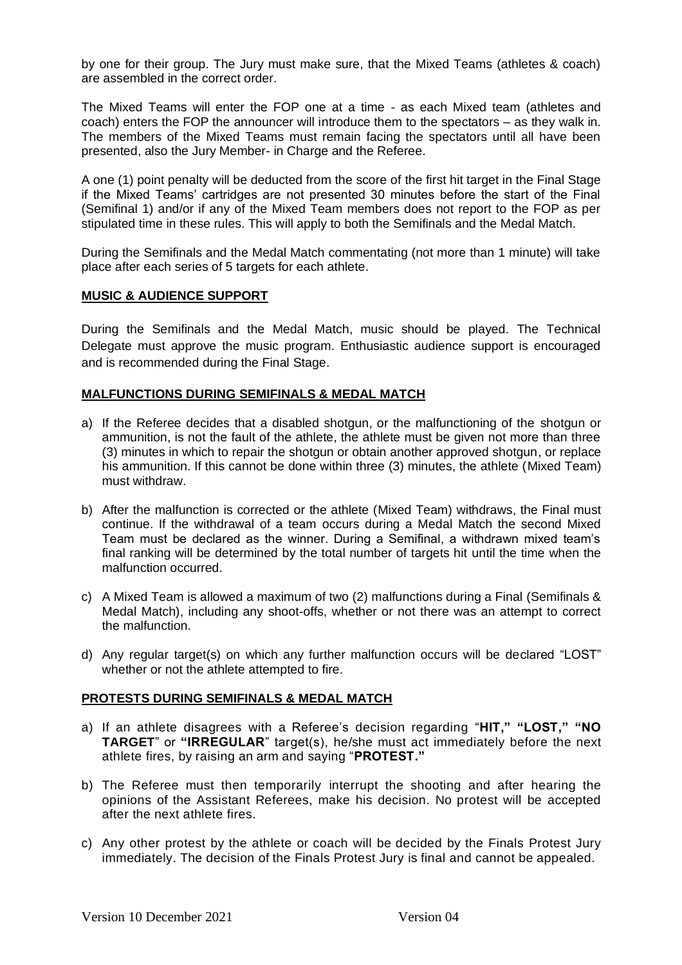by one for their group. The Jury must make sure, that the Mixed Teams (athletes & coach) are assembled in the correct order.

The Mixed Teams will enter the FOP one at a time - as each Mixed team (athletes and coach) enters the FOP the announcer will introduce them to the spectators – as they walk in. The members of the Mixed Teams must remain facing the spectators until all have been presented, also the Jury Member- in Charge and the Referee.

A one (1) point penalty will be deducted from the score of the first hit target in the Final Stage if the Mixed Teams' cartridges are not presented 30 minutes before the start of the Final (Semifinal 1) and/or if any of the Mixed Team members does not report to the FOP as per stipulated time in these rules. This will apply to both the Semifinals and the Medal Match.

During the Semifinals and the Medal Match commentating (not more than 1 minute) will take place after each series of 5 targets for each athlete.

#### **MUSIC & AUDIENCE SUPPORT**

During the Semifinals and the Medal Match, music should be played. The Technical Delegate must approve the music program. Enthusiastic audience support is encouraged and is recommended during the Final Stage.

#### **MALFUNCTIONS DURING SEMIFINALS & MEDAL MATCH**

- a) If the Referee decides that a disabled shotgun, or the malfunctioning of the shotgun or ammunition, is not the fault of the athlete, the athlete must be given not more than three (3) minutes in which to repair the shotgun or obtain another approved shotgun, or replace his ammunition. If this cannot be done within three (3) minutes, the athlete (Mixed Team) must withdraw.
- b) After the malfunction is corrected or the athlete (Mixed Team) withdraws, the Final must continue. If the withdrawal of a team occurs during a Medal Match the second Mixed Team must be declared as the winner. During a Semifinal, a withdrawn mixed team's final ranking will be determined by the total number of targets hit until the time when the malfunction occurred.
- c) A Mixed Team is allowed a maximum of two (2) malfunctions during a Final (Semifinals & Medal Match), including any shoot-offs, whether or not there was an attempt to correct the malfunction.
- d) Any regular target(s) on which any further malfunction occurs will be declared "LOST" whether or not the athlete attempted to fire.

#### **PROTESTS DURING SEMIFINALS & MEDAL MATCH**

- a) If an athlete disagrees with a Referee's decision regarding "**HIT," "LOST," "NO TARGET**" or **"IRREGULAR**" target(s), he/she must act immediately before the next athlete fires, by raising an arm and saying "**PROTEST."**
- b) The Referee must then temporarily interrupt the shooting and after hearing the opinions of the Assistant Referees, make his decision. No protest will be accepted after the next athlete fires.
- c) Any other protest by the athlete or coach will be decided by the Finals Protest Jury immediately. The decision of the Finals Protest Jury is final and cannot be appealed.